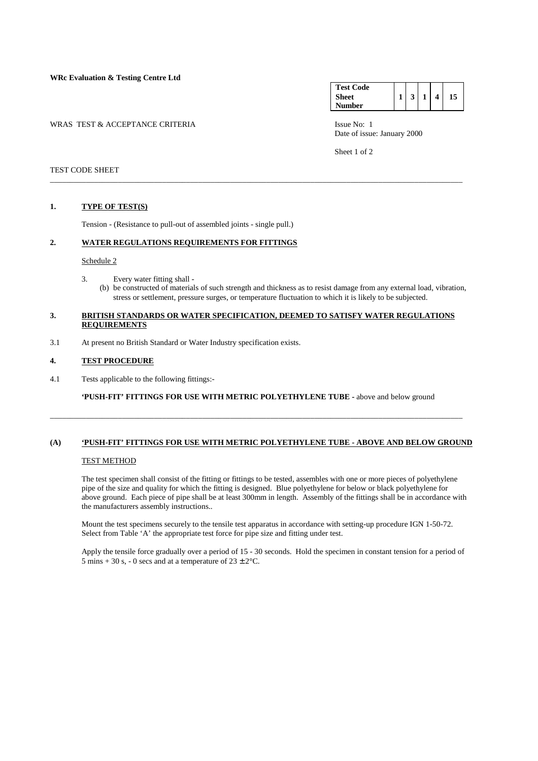**WRc Evaluation & Testing Centre Ltd**

WRAS TEST & ACCEPTANCE CRITERIA **ISSUE NO:** 1

**Test Code Sheet Number 1 3 1 4 15** 

Date of issue: January 2000

Sheet 1 of 2

#### TEST CODE SHEET

#### **1. TYPE OF TEST(S)**

Tension - (Resistance to pull-out of assembled joints - single pull.)

## **2. WATER REGULATIONS REQUIREMENTS FOR FITTINGS**

#### Schedule 2

- 3. Every water fitting shall
	- (b) be constructed of materials of such strength and thickness as to resist damage from any external load, vibration, stress or settlement, pressure surges, or temperature fluctuation to which it is likely to be subjected.

#### **3. BRITISH STANDARDS OR WATER SPECIFICATION, DEEMED TO SATISFY WATER REGULATIONS REQUIREMENTS**

\_\_\_\_\_\_\_\_\_\_\_\_\_\_\_\_\_\_\_\_\_\_\_\_\_\_\_\_\_\_\_\_\_\_\_\_\_\_\_\_\_\_\_\_\_\_\_\_\_\_\_\_\_\_\_\_\_\_\_\_\_\_\_\_\_\_\_\_\_\_\_\_\_\_\_\_\_\_\_\_\_\_\_\_\_\_\_\_\_\_\_\_\_\_\_\_\_\_\_\_\_\_\_

3.1 At present no British Standard or Water Industry specification exists.

### **4. TEST PROCEDURE**

4.1 Tests applicable to the following fittings:-

 **'PUSH-FIT' FITTINGS FOR USE WITH METRIC POLYETHYLENE TUBE -** above and below ground

\_\_\_\_\_\_\_\_\_\_\_\_\_\_\_\_\_\_\_\_\_\_\_\_\_\_\_\_\_\_\_\_\_\_\_\_\_\_\_\_\_\_\_\_\_\_\_\_\_\_\_\_\_\_\_\_\_\_\_\_\_\_\_\_\_\_\_\_\_\_\_\_\_\_\_\_\_\_\_\_\_\_\_\_\_\_\_\_\_\_\_\_\_\_\_\_\_\_\_\_\_\_\_

# **(A) 'PUSH-FIT' FITTINGS FOR USE WITH METRIC POLYETHYLENE TUBE - ABOVE AND BELOW GROUND**

#### TEST METHOD

 The test specimen shall consist of the fitting or fittings to be tested, assembles with one or more pieces of polyethylene pipe of the size and quality for which the fitting is designed. Blue polyethylene for below or black polyethylene for above ground. Each piece of pipe shall be at least 300mm in length. Assembly of the fittings shall be in accordance with the manufacturers assembly instructions..

 Mount the test specimens securely to the tensile test apparatus in accordance with setting-up procedure IGN 1-50-72. Select from Table 'A' the appropriate test force for pipe size and fitting under test.

 Apply the tensile force gradually over a period of 15 - 30 seconds. Hold the specimen in constant tension for a period of 5 mins + 30 s, - 0 secs and at a temperature of  $23 \pm 2$ °C.